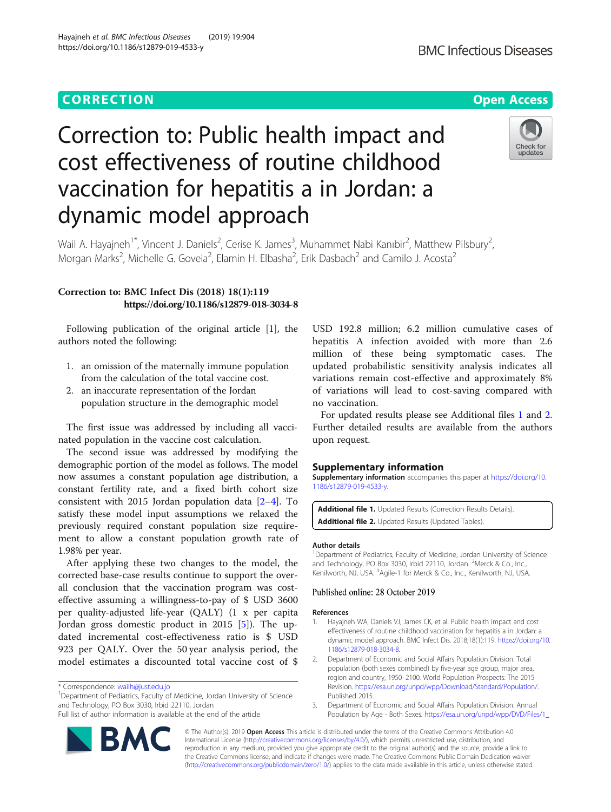# **CORRECTION CORRECTION CORRECTION**

# Hayajneh et al. BMC Infectious Diseases (2019) 19:904 https://doi.org/10.1186/s12879-019-4533-y

**BMC Infectious Diseases** 

# Correction to: Public health impact and cost effectiveness of routine childhood vaccination for hepatitis a in Jordan: a dynamic model approach



Wail A. Hayajneh<sup>1\*</sup>, Vincent J. Daniels<sup>2</sup>, Cerise K. James<sup>3</sup>, Muhammet Nabi Kanıbir<sup>2</sup>, Matthew Pilsbury<sup>2</sup> , Morgan Marks<sup>2</sup>, Michelle G. Goveia<sup>2</sup>, Elamin H. Elbasha<sup>2</sup>, Erik Dasbach<sup>2</sup> and Camilo J. Acosta<sup>2</sup>

# Correction to: BMC Infect Dis (2018) 18(1):119 https://doi.org/10.1186/s12879-018-3034-8

Following publication of the original article [1], the authors noted the following:

- 1. an omission of the maternally immune population from the calculation of the total vaccine cost.
- 2. an inaccurate representation of the Jordan population structure in the demographic model

The first issue was addressed by including all vaccinated population in the vaccine cost calculation.

The second issue was addressed by modifying the demographic portion of the model as follows. The model now assumes a constant population age distribution, a constant fertility rate, and a fixed birth cohort size consistent with 2015 Jordan population data [2–[4](#page-1-0)]. To satisfy these model input assumptions we relaxed the previously required constant population size requirement to allow a constant population growth rate of 1.98% per year.

After applying these two changes to the model, the corrected base-case results continue to support the overall conclusion that the vaccination program was costeffective assuming a willingness-to-pay of \$ USD 3600 per quality-adjusted life-year (QALY) (1 x per capita Jordan gross domestic product in 2015 [\[5](#page-1-0)]). The updated incremental cost-effectiveness ratio is \$ USD 923 per QALY. Over the 50 year analysis period, the model estimates a discounted total vaccine cost of \$

<sup>1</sup>Department of Pediatrics, Faculty of Medicine, Jordan University of Science and Technology, PO Box 3030, Irbid 22110, Jordan

Full list of author information is available at the end of the article



USD 192.8 million; 6.2 million cumulative cases of hepatitis A infection avoided with more than 2.6 million of these being symptomatic cases. The updated probabilistic sensitivity analysis indicates all variations remain cost-effective and approximately 8% of variations will lead to cost-saving compared with no vaccination.

For updated results please see Additional files 1 and 2. Further detailed results are available from the authors upon request.

# Supplementary information

Supplementary information accompanies this paper at [https://doi.org/10.](https://doi.org/10.1186/s12879-019-4533-y) [1186/s12879-019-4533-y](https://doi.org/10.1186/s12879-019-4533-y).

Additional file 1. Updated Results (Correction Results Details). Additional file 2. Updated Results (Updated Tables).

### Author details

<sup>1</sup>Department of Pediatrics, Faculty of Medicine, Jordan University of Science and Technology, PO Box 3030, Irbid 22110, Jordan. <sup>2</sup>Merck & Co., Inc. Kenilworth, NJ, USA. <sup>3</sup>Agile-1 for Merck & Co., Inc., Kenilworth, NJ, USA

## Published online: 28 October 2019

### References

- 1. Hayajneh WA, Daniels VJ, James CK, et al. Public health impact and cost effectiveness of routine childhood vaccination for hepatitis a in Jordan: a dynamic model approach. BMC Infect Dis. 2018;18(1):119. [https://doi.org/10.](https://doi.org/10.1186/s12879-018-3034-8) [1186/s12879-018-3034-8](https://doi.org/10.1186/s12879-018-3034-8).
- 2. Department of Economic and Social Affairs Population Division. Total population (both sexes combined) by five-year age group, major area, region and country, 1950–2100. World Population Prospects: The 2015 Revision. <https://esa.un.org/unpd/wpp/Download/Standard/Population/>. Published 2015.
- 3. Department of Economic and Social Affairs Population Division. Annual Population by Age - Both Sexes. [https://esa.un.org/unpd/wpp/DVD/Files/1\\_](https://esa.un.org/unpd/wpp/DVD/Files/1_Indicators)

© The Author(s). 2019 **Open Access** This article is distributed under the terms of the Creative Commons Attribution 4.0 International License [\(http://creativecommons.org/licenses/by/4.0/](http://creativecommons.org/licenses/by/4.0/)), which permits unrestricted use, distribution, and reproduction in any medium, provided you give appropriate credit to the original author(s) and the source, provide a link to the Creative Commons license, and indicate if changes were made. The Creative Commons Public Domain Dedication waiver [\(http://creativecommons.org/publicdomain/zero/1.0/](http://creativecommons.org/publicdomain/zero/1.0/)) applies to the data made available in this article, unless otherwise stated.

<sup>\*</sup> Correspondence: [wailh@just.edu.jo](mailto:wailh@just.edu.jo) <sup>1</sup>